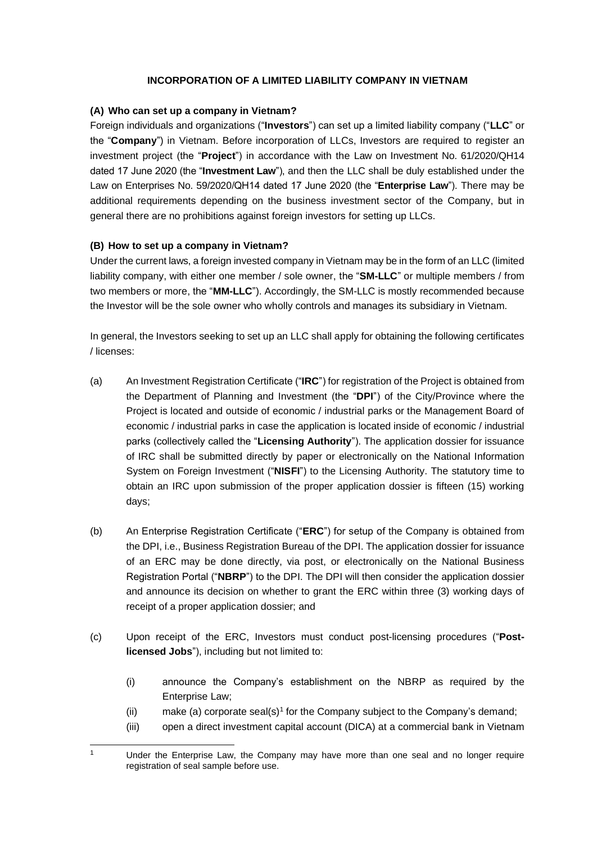# **INCORPORATION OF A LIMITED LIABILITY COMPANY IN VIETNAM**

## **(A) Who can set up a company in Vietnam?**

Foreign individuals and organizations ("**Investors**") can set up a limited liability company ("**LLC**" or the "**Company**") in Vietnam. Before incorporation of LLCs, Investors are required to register an investment project (the "**Project**") in accordance with the Law on Investment No. 61/2020/QH14 dated 17 June 2020 (the "**Investment Law**"), and then the LLC shall be duly established under the Law on Enterprises No. 59/2020/QH14 dated 17 June 2020 (the "**Enterprise Law**"). There may be additional requirements depending on the business investment sector of the Company, but in general there are no prohibitions against foreign investors for setting up LLCs.

# **(B) How to set up a company in Vietnam?**

Under the current laws, a foreign invested company in Vietnam may be in the form of an LLC (limited liability company, with either one member / sole owner, the "**SM-LLC**" or multiple members / from two members or more, the "**MM-LLC**"). Accordingly, the SM-LLC is mostly recommended because the Investor will be the sole owner who wholly controls and manages its subsidiary in Vietnam.

In general, the Investors seeking to set up an LLC shall apply for obtaining the following certificates / licenses:

- (a) An Investment Registration Certificate ("**IRC**") for registration of the Project is obtained from the Department of Planning and Investment (the "**DPI**") of the City/Province where the Project is located and outside of economic / industrial parks or the Management Board of economic / industrial parks in case the application is located inside of economic / industrial parks (collectively called the "**Licensing Authority**"). The application dossier for issuance of IRC shall be submitted directly by paper or electronically on the National Information System on Foreign Investment ("**NISFI**") to the Licensing Authority. The statutory time to obtain an IRC upon submission of the proper application dossier is fifteen (15) working days;
- (b) An Enterprise Registration Certificate ("**ERC**") for setup of the Company is obtained from the DPI, i.e., Business Registration Bureau of the DPI. The application dossier for issuance of an ERC may be done directly, via post, or electronically on the National Business Registration Portal ("**NBRP**") to the DPI. The DPI will then consider the application dossier and announce its decision on whether to grant the ERC within three (3) working days of receipt of a proper application dossier; and
- (c) Upon receipt of the ERC, Investors must conduct post-licensing procedures ("**Postlicensed Jobs**"), including but not limited to:
	- (i) announce the Company's establishment on the NBRP as required by the Enterprise Law;
	- (ii) make (a) corporate seal(s)<sup>1</sup> for the Company subject to the Company's demand;
	- (iii) open a direct investment capital account (DICA) at a commercial bank in Vietnam

<sup>&</sup>lt;sup>1</sup> Under the Enterprise Law, the Company may have more than one seal and no longer require registration of seal sample before use.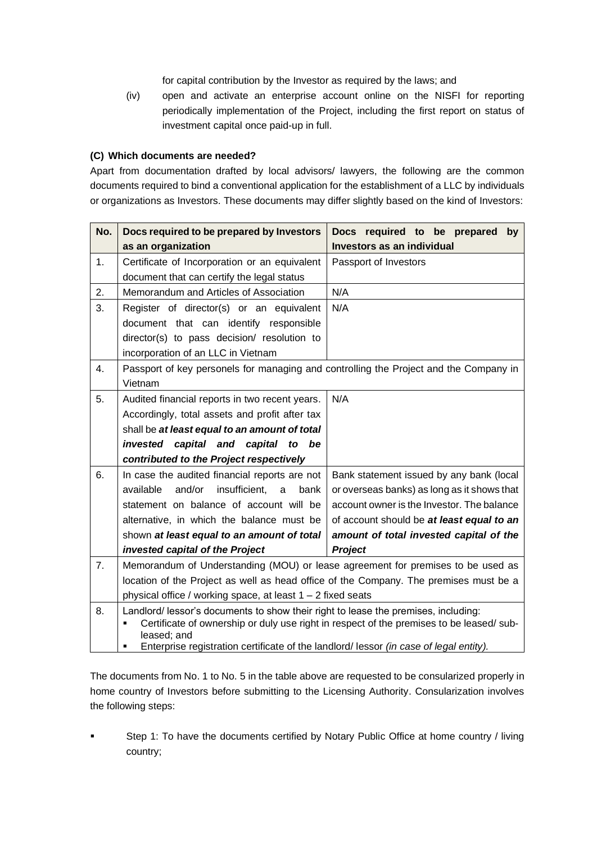for capital contribution by the Investor as required by the laws; and

(iv) open and activate an enterprise account online on the NISFI for reporting periodically implementation of the Project, including the first report on status of investment capital once paid-up in full.

#### **(C) Which documents are needed?**

Apart from documentation drafted by local advisors/ lawyers, the following are the common documents required to bind a conventional application for the establishment of a LLC by individuals or organizations as Investors. These documents may differ slightly based on the kind of Investors:

| No. | Docs required to be prepared by Investors                                                               | Docs required to be prepared<br>by          |
|-----|---------------------------------------------------------------------------------------------------------|---------------------------------------------|
|     | as an organization                                                                                      | Investors as an individual                  |
| 1.  | Certificate of Incorporation or an equivalent                                                           | Passport of Investors                       |
|     | document that can certify the legal status                                                              |                                             |
| 2.  | Memorandum and Articles of Association                                                                  | N/A                                         |
| 3.  | Register of director(s) or an equivalent                                                                | N/A                                         |
|     | document that can identify responsible                                                                  |                                             |
|     | director(s) to pass decision/ resolution to                                                             |                                             |
|     | incorporation of an LLC in Vietnam                                                                      |                                             |
| 4.  | Passport of key personels for managing and controlling the Project and the Company in                   |                                             |
|     | Vietnam                                                                                                 |                                             |
| 5.  | Audited financial reports in two recent years.                                                          | N/A                                         |
|     | Accordingly, total assets and profit after tax                                                          |                                             |
|     | shall be at least equal to an amount of total                                                           |                                             |
|     | invested<br>capital and capital<br>be<br>to                                                             |                                             |
|     | contributed to the Project respectively                                                                 |                                             |
| 6.  | In case the audited financial reports are not                                                           | Bank statement issued by any bank (local    |
|     | and/or<br>insufficient.<br>available<br>bank<br>a                                                       | or overseas banks) as long as it shows that |
|     | statement on balance of account will be                                                                 | account owner is the Investor. The balance  |
|     | alternative, in which the balance must be                                                               | of account should be at least equal to an   |
|     | shown at least equal to an amount of total                                                              | amount of total invested capital of the     |
|     | invested capital of the Project                                                                         | <b>Project</b>                              |
| 7.  | Memorandum of Understanding (MOU) or lease agreement for premises to be used as                         |                                             |
|     | location of the Project as well as head office of the Company. The premises must be a                   |                                             |
|     | physical office / working space, at least $1 - 2$ fixed seats                                           |                                             |
| 8.  | Landlord/ lessor's documents to show their right to lease the premises, including:                      |                                             |
|     | Certificate of ownership or duly use right in respect of the premises to be leased/ sub-<br>leased; and |                                             |
|     | Enterprise registration certificate of the landlord/lessor (in case of legal entity).                   |                                             |

The documents from No. 1 to No. 5 in the table above are requested to be consularized properly in home country of Investors before submitting to the Licensing Authority. Consularization involves the following steps:

Step 1: To have the documents certified by Notary Public Office at home country / living country;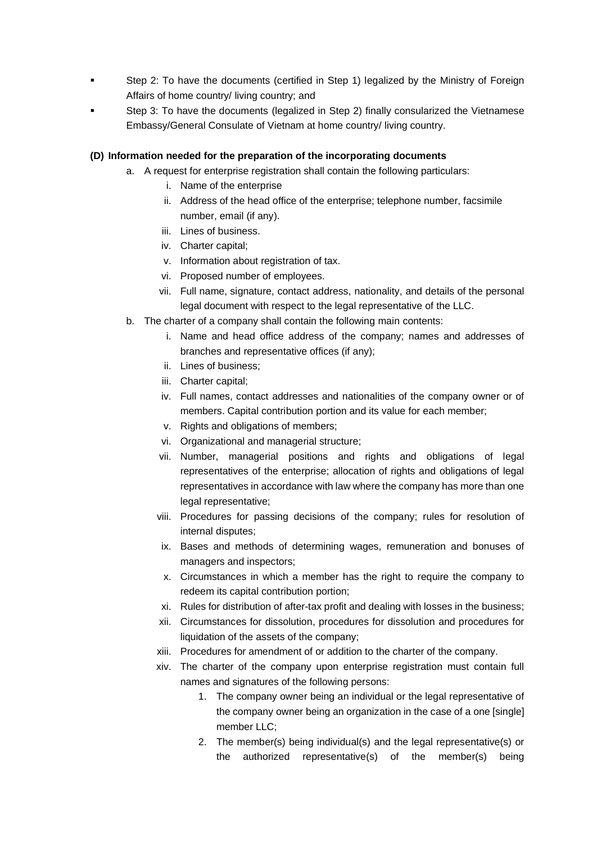- **•** Step 2: To have the documents (certified in Step 1) legalized by the Ministry of Foreign Affairs of home country/ living country; and
- Step 3: To have the documents (legalized in Step 2) finally consularized the Vietnamese Embassy/General Consulate of Vietnam at home country/ living country.

### **(D) Information needed for the preparation of the incorporating documents**

- a. A request for enterprise registration shall contain the following particulars:
	- i. Name of the enterprise
	- ii. Address of the head office of the enterprise; telephone number, facsimile number, email (if any).
	- iii. Lines of business.
	- iv. Charter capital;
	- v. Information about registration of tax.
	- vi. Proposed number of employees.
	- vii. Full name, signature, contact address, nationality, and details of the personal legal document with respect to the legal representative of the LLC.
- b. The charter of a company shall contain the following main contents:
	- i. Name and head office address of the company; names and addresses of branches and representative offices (if any);
	- ii. Lines of business;
	- iii. Charter capital;
	- iv. Full names, contact addresses and nationalities of the company owner or of members. Capital contribution portion and its value for each member;
	- v. Rights and obligations of members;
	- vi. Organizational and managerial structure;
	- vii. Number, managerial positions and rights and obligations of legal representatives of the enterprise; allocation of rights and obligations of legal representatives in accordance with law where the company has more than one legal representative;
	- viii. Procedures for passing decisions of the company; rules for resolution of internal disputes;
	- ix. Bases and methods of determining wages, remuneration and bonuses of managers and inspectors;
	- x. Circumstances in which a member has the right to require the company to redeem its capital contribution portion;
	- xi. Rules for distribution of after-tax profit and dealing with losses in the business;
	- xii. Circumstances for dissolution, procedures for dissolution and procedures for liquidation of the assets of the company;
	- xiii. Procedures for amendment of or addition to the charter of the company.
	- xiv. The charter of the company upon enterprise registration must contain full names and signatures of the following persons:
		- 1. The company owner being an individual or the legal representative of the company owner being an organization in the case of a one [single] member LLC;
		- 2. The member(s) being individual(s) and the legal representative(s) or the authorized representative(s) of the member(s) being